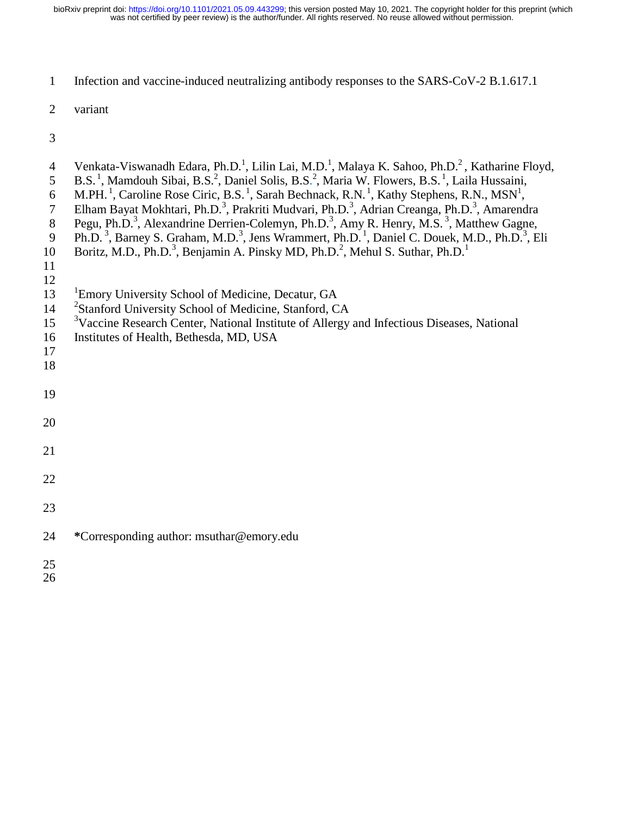was not certified by peer review) is the author/funder. All rights reserved. No reuse allowed without permission. bioRxiv preprint doi: [https://doi.org/10.1101/2021.05.09.443299;](https://doi.org/10.1101/2021.05.09.443299) this version posted May 10, 2021. The copyright holder for this preprint (which

1 Infection and vaccine-induced neutralizing antibody responses to the SARS-CoV-2 B.1.617.1

2 variant

| $\overline{4}$<br>5<br>6<br>$\overline{7}$<br>$8\,$<br>9<br>10<br>11<br>12 | Venkata-Viswanadh Edara, Ph.D. <sup>1</sup> , Lilin Lai, M.D. <sup>1</sup> , Malaya K. Sahoo, Ph.D. <sup>2</sup> , Katharine Floyd,<br>B.S. <sup>1</sup> , Mamdouh Sibai, B.S. <sup>2</sup> , Daniel Solis, B.S. <sup>2</sup> , Maria W. Flowers, B.S. <sup>1</sup> , Laila Hussaini,<br>M.PH. <sup>1</sup> , Caroline Rose Ciric, B.S. <sup>1</sup> , Sarah Bechnack, R.N. <sup>1</sup> , Kathy Stephens, R.N., MSN <sup>1</sup> ,<br>Elham Bayat Mokhtari, Ph.D. <sup>3</sup> , Prakriti Mudvari, Ph.D. <sup>3</sup> , Adrian Creanga, Ph.D. <sup>3</sup> , Amarendra<br>Pegu, Ph.D. <sup>3</sup> , Alexandrine Derrien-Colemyn, Ph.D. <sup>3</sup> , Amy R. Henry, M.S. <sup>3</sup> , Matthew Gagne,<br>Ph.D. <sup>3</sup> , Barney S. Graham, M.D. <sup>3</sup> , Jens Wrammert, Ph.D. <sup>1</sup> , Daniel C. Douek, M.D., Ph.D. <sup>3</sup> , Eli<br>Boritz, M.D., Ph.D. <sup>3</sup> , Benjamin A. Pinsky MD, Ph.D. <sup>2</sup> , Mehul S. Suthar, Ph.D. <sup>1</sup> |
|----------------------------------------------------------------------------|----------------------------------------------------------------------------------------------------------------------------------------------------------------------------------------------------------------------------------------------------------------------------------------------------------------------------------------------------------------------------------------------------------------------------------------------------------------------------------------------------------------------------------------------------------------------------------------------------------------------------------------------------------------------------------------------------------------------------------------------------------------------------------------------------------------------------------------------------------------------------------------------------------------------------------------------------------------------------------|
| 13<br>14<br>15<br>16<br>17<br>18                                           | <sup>1</sup> Emory University School of Medicine, Decatur, GA<br><sup>2</sup> Stanford University School of Medicine, Stanford, CA<br><sup>3</sup> Vaccine Research Center, National Institute of Allergy and Infectious Diseases, National<br>Institutes of Health, Bethesda, MD, USA                                                                                                                                                                                                                                                                                                                                                                                                                                                                                                                                                                                                                                                                                           |
| 19                                                                         |                                                                                                                                                                                                                                                                                                                                                                                                                                                                                                                                                                                                                                                                                                                                                                                                                                                                                                                                                                                  |
| 20                                                                         |                                                                                                                                                                                                                                                                                                                                                                                                                                                                                                                                                                                                                                                                                                                                                                                                                                                                                                                                                                                  |
| 21                                                                         |                                                                                                                                                                                                                                                                                                                                                                                                                                                                                                                                                                                                                                                                                                                                                                                                                                                                                                                                                                                  |
| 22                                                                         |                                                                                                                                                                                                                                                                                                                                                                                                                                                                                                                                                                                                                                                                                                                                                                                                                                                                                                                                                                                  |
| 23                                                                         |                                                                                                                                                                                                                                                                                                                                                                                                                                                                                                                                                                                                                                                                                                                                                                                                                                                                                                                                                                                  |
| 24                                                                         | *Corresponding author: msuthar@emory.edu                                                                                                                                                                                                                                                                                                                                                                                                                                                                                                                                                                                                                                                                                                                                                                                                                                                                                                                                         |
| 25<br>26                                                                   |                                                                                                                                                                                                                                                                                                                                                                                                                                                                                                                                                                                                                                                                                                                                                                                                                                                                                                                                                                                  |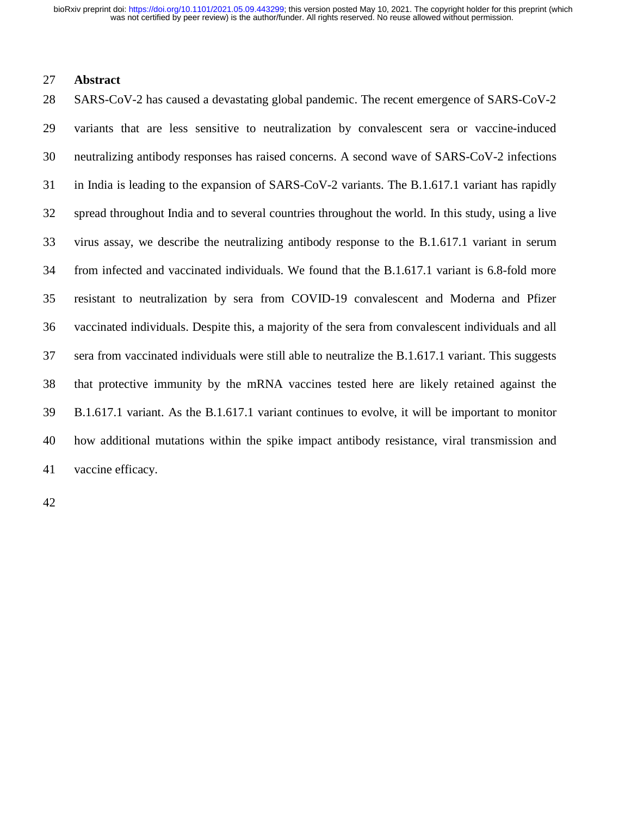was not certified by peer review) is the author/funder. All rights reserved. No reuse allowed without permission. bioRxiv preprint doi: [https://doi.org/10.1101/2021.05.09.443299;](https://doi.org/10.1101/2021.05.09.443299) this version posted May 10, 2021. The copyright holder for this preprint (which

## 27 **Abstract**

28 SARS-CoV-2 has caused a devastating global pandemic. The recent emergence of SARS-CoV-2 29 variants that are less sensitive to neutralization by convalescent sera or vaccine-induced 30 neutralizing antibody responses has raised concerns. A second wave of SARS-CoV-2 infections 31 in India is leading to the expansion of SARS-CoV-2 variants. The B.1.617.1 variant has rapidly 32 spread throughout India and to several countries throughout the world. In this study, using a live 33 virus assay, we describe the neutralizing antibody response to the B.1.617.1 variant in serum 34 from infected and vaccinated individuals. We found that the B.1.617.1 variant is 6.8-fold more 35 resistant to neutralization by sera from COVID-19 convalescent and Moderna and Pfizer 36 vaccinated individuals. Despite this, a majority of the sera from convalescent individuals and all 37 sera from vaccinated individuals were still able to neutralize the B.1.617.1 variant. This suggests 38 that protective immunity by the mRNA vaccines tested here are likely retained against the 39 B.1.617.1 variant. As the B.1.617.1 variant continues to evolve, it will be important to monitor 40 how additional mutations within the spike impact antibody resistance, viral transmission and 41 vaccine efficacy.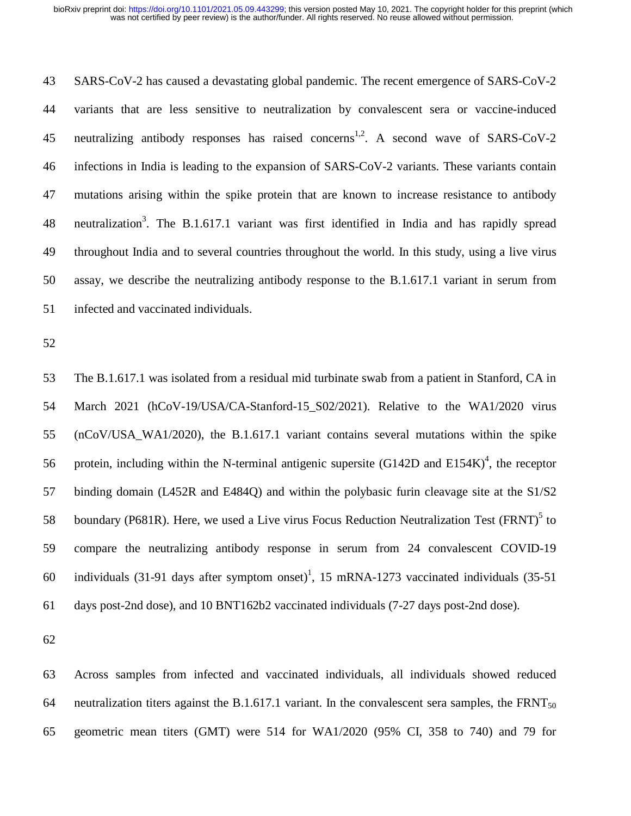43 SARS-CoV-2 has caused a devastating global pandemic. The recent emergence of SARS-CoV-2 44 variants that are less sensitive to neutralization by convalescent sera or vaccine-induced 45 neutralizing antibody responses has raised concerns<sup>1,2</sup>. A second wave of SARS-CoV-2 46 infections in India is leading to the expansion of SARS-CoV-2 variants. These variants contain 47 mutations arising within the spike protein that are known to increase resistance to antibody 48 neutralization<sup>3</sup>. The B.1.617.1 variant was first identified in India and has rapidly spread 49 throughout India and to several countries throughout the world. In this study, using a live virus 50 assay, we describe the neutralizing antibody response to the B.1.617.1 variant in serum from 51 infected and vaccinated individuals.

52

53 The B.1.617.1 was isolated from a residual mid turbinate swab from a patient in Stanford, CA in 54 March 2021 (hCoV-19/USA/CA-Stanford-15\_S02/2021). Relative to the WA1/2020 virus 55 (nCoV/USA\_WA1/2020), the B.1.617.1 variant contains several mutations within the spike 56 protein, including within the N-terminal antigenic supersite  $(G142D)$  and  $E154K$ <sup>4</sup>, the receptor 57 binding domain (L452R and E484Q) and within the polybasic furin cleavage site at the S1/S2 58 boundary (P681R). Here, we used a Live virus Focus Reduction Neutralization Test (FRNT) $\delta$  to 59 compare the neutralizing antibody response in serum from 24 convalescent COVID-19 60 individuals (31-91 days after symptom onset)<sup>1</sup>, 15 mRNA-1273 vaccinated individuals (35-51) 61 days post-2nd dose), and 10 BNT162b2 vaccinated individuals (7-27 days post-2nd dose).

62

63 Across samples from infected and vaccinated individuals, all individuals showed reduced 64 neutralization titers against the B.1.617.1 variant. In the convalescent sera samples, the FRNT<sub>50</sub> 65 geometric mean titers (GMT) were 514 for WA1/2020 (95% CI, 358 to 740) and 79 for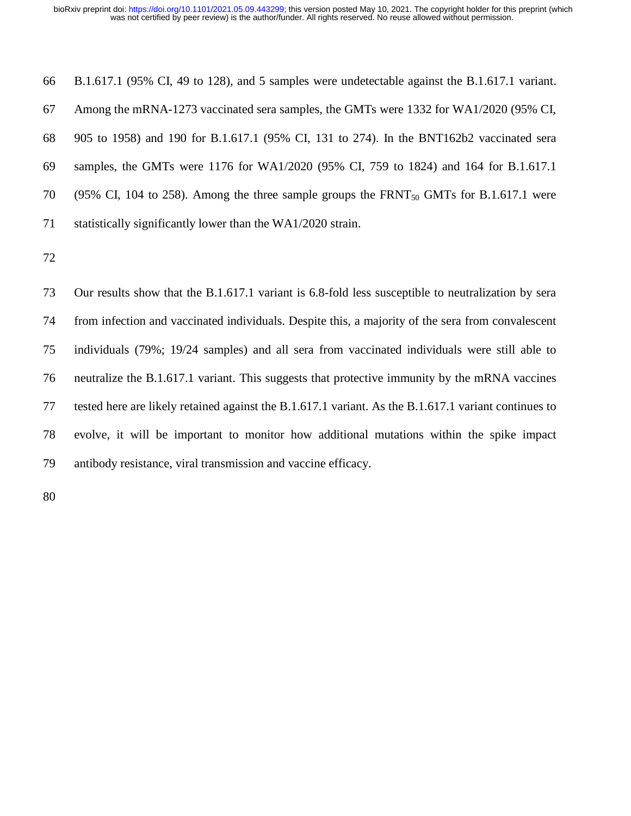66 B.1.617.1 (95% CI, 49 to 128), and 5 samples were undetectable against the B.1.617.1 variant. 67 Among the mRNA-1273 vaccinated sera samples, the GMTs were 1332 for WA1/2020 (95% CI, 68 905 to 1958) and 190 for B.1.617.1 (95% CI, 131 to 274). In the BNT162b2 vaccinated sera 69 samples, the GMTs were 1176 for WA1/2020 (95% CI, 759 to 1824) and 164 for B.1.617.1 70 (95% CI, 104 to 258). Among the three sample groups the FRNT<sub>50</sub> GMTs for B.1.617.1 were 71 statistically significantly lower than the WA1/2020 strain.

72

73 Our results show that the B.1.617.1 variant is 6.8-fold less susceptible to neutralization by sera 74 from infection and vaccinated individuals. Despite this, a majority of the sera from convalescent 75 individuals (79%; 19/24 samples) and all sera from vaccinated individuals were still able to 76 neutralize the B.1.617.1 variant. This suggests that protective immunity by the mRNA vaccines 77 tested here are likely retained against the B.1.617.1 variant. As the B.1.617.1 variant continues to 78 evolve, it will be important to monitor how additional mutations within the spike impact 79 antibody resistance, viral transmission and vaccine efficacy.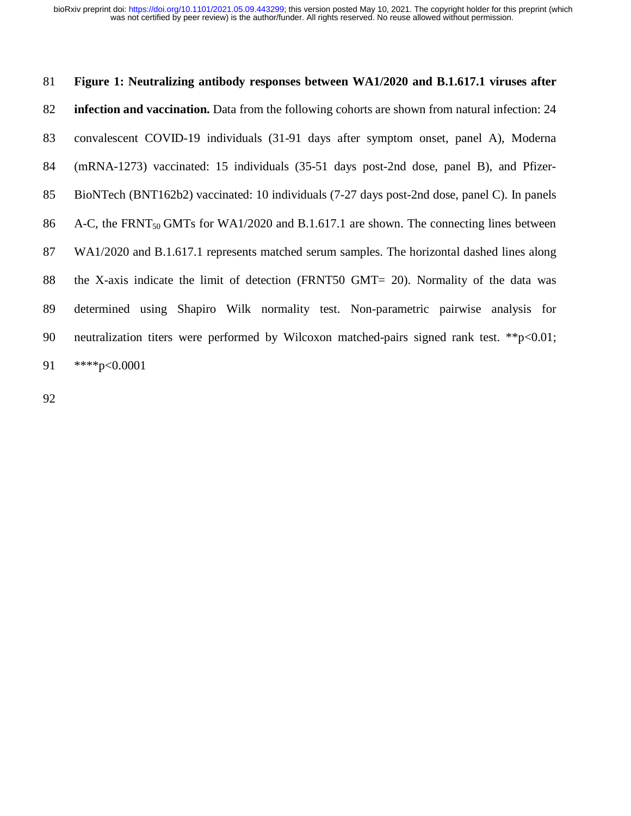## 81 **Figure 1: Neutralizing antibody responses between WA1/2020 and B.1.617.1 viruses after**  82 **infection and vaccination.** Data from the following cohorts are shown from natural infection: 24 83 convalescent COVID-19 individuals (31-91 days after symptom onset, panel A), Moderna 84 (mRNA-1273) vaccinated: 15 individuals (35-51 days post-2nd dose, panel B), and Pfizer-85 BioNTech (BNT162b2) vaccinated: 10 individuals (7-27 days post-2nd dose, panel C). In panels 86 A-C, the FRNT<sub>50</sub> GMTs for WA1/2020 and B.1.617.1 are shown. The connecting lines between 87 WA1/2020 and B.1.617.1 represents matched serum samples. The horizontal dashed lines along 88 the X-axis indicate the limit of detection (FRNT50 GMT= 20). Normality of the data was 89 determined using Shapiro Wilk normality test. Non-parametric pairwise analysis for 90 neutralization titers were performed by Wilcoxon matched-pairs signed rank test. \*\*p<0.01; 91 \*\*\*\*p<0.0001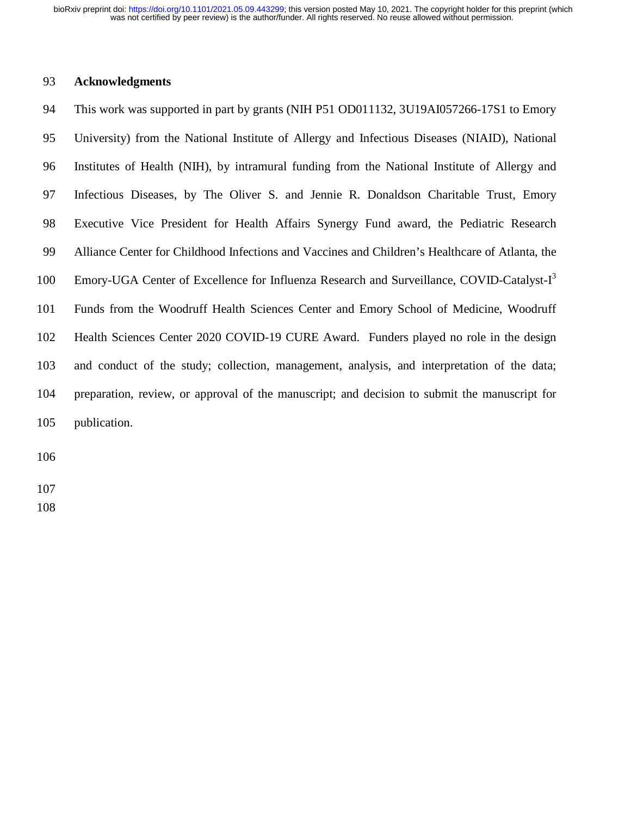was not certified by peer review) is the author/funder. All rights reserved. No reuse allowed without permission. bioRxiv preprint doi: [https://doi.org/10.1101/2021.05.09.443299;](https://doi.org/10.1101/2021.05.09.443299) this version posted May 10, 2021. The copyright holder for this preprint (which

## 93 **Acknowledgments**

94 This work was supported in part by grants (NIH P51 OD011132, 3U19AI057266-17S1 to Emory 95 University) from the National Institute of Allergy and Infectious Diseases (NIAID), National 96 Institutes of Health (NIH), by intramural funding from the National Institute of Allergy and 97 Infectious Diseases, by The Oliver S. and Jennie R. Donaldson Charitable Trust, Emory 98 Executive Vice President for Health Affairs Synergy Fund award, the Pediatric Research 99 Alliance Center for Childhood Infections and Vaccines and Children's Healthcare of Atlanta, the 100 Emory-UGA Center of Excellence for Influenza Research and Surveillance, COVID-Catalyst- $I<sup>3</sup>$ 101 Funds from the Woodruff Health Sciences Center and Emory School of Medicine, Woodruff 102 Health Sciences Center 2020 COVID-19 CURE Award. Funders played no role in the design 103 and conduct of the study; collection, management, analysis, and interpretation of the data; 104 preparation, review, or approval of the manuscript; and decision to submit the manuscript for 105 publication.

106

107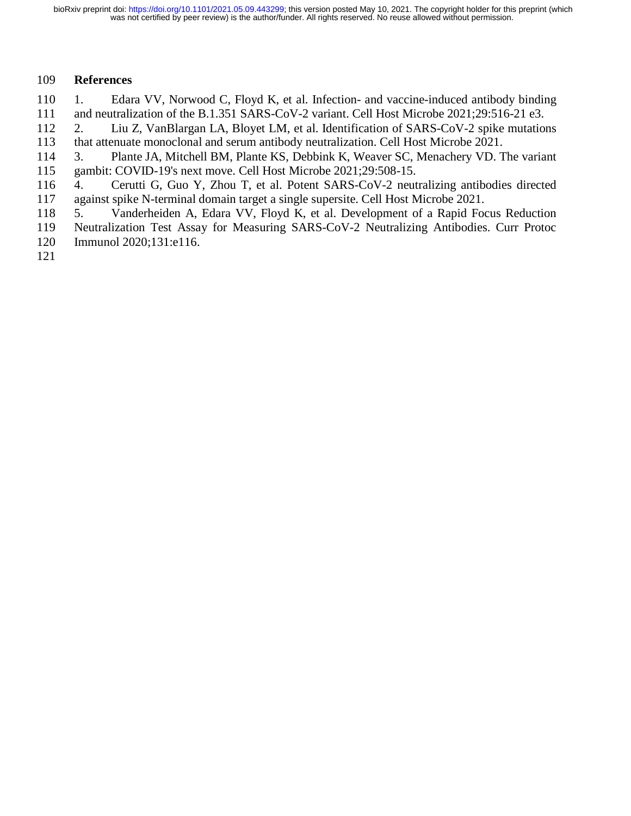## 109 **References**

110 1. Edara VV, Norwood C, Floyd K, et al. Infection- and vaccine-induced antibody binding 111 and neutralization of the B.1.351 SARS-CoV-2 variant. Cell Host Microbe 2021;29:516-21 e3.

112 2. Liu Z, VanBlargan LA, Bloyet LM, et al. Identification of SARS-CoV-2 spike mutations 113 that attenuate monoclonal and serum antibody neutralization. Cell Host Microbe 2021.

114 3. Plante JA, Mitchell BM, Plante KS, Debbink K, Weaver SC, Menachery VD. The variant 115 gambit: COVID-19's next move. Cell Host Microbe 2021;29:508-15.

116 4. Cerutti G, Guo Y, Zhou T, et al. Potent SARS-CoV-2 neutralizing antibodies directed 117 against spike N-terminal domain target a single supersite. Cell Host Microbe 2021.

- 118 5. Vanderheiden A, Edara VV, Floyd K, et al. Development of a Rapid Focus Reduction
- 119 Neutralization Test Assay for Measuring SARS-CoV-2 Neutralizing Antibodies. Curr Protoc
- 120 Immunol 2020;131:e116.
- 121